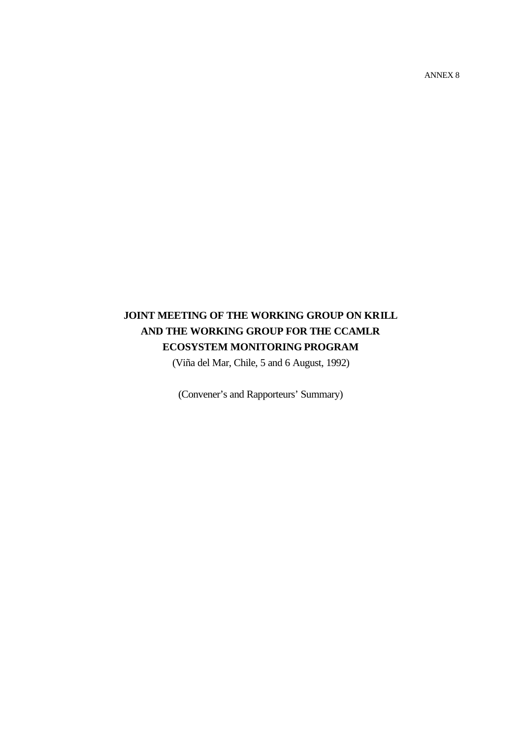ANNEX 8

# **JOINT MEETING OF THE WORKING GROUP ON KRILL AND THE WORKING GROUP FOR THE CCAMLR ECOSYSTEM MONITORING PROGRAM**

(Viña del Mar, Chile, 5 and 6 August, 1992)

(Convener's and Rapporteurs' Summary)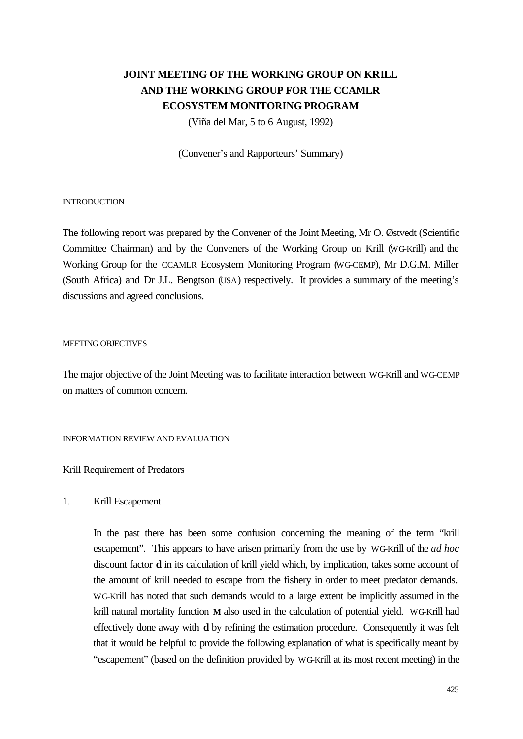# **JOINT MEETING OF THE WORKING GROUP ON KRILL AND THE WORKING GROUP FOR THE CCAMLR ECOSYSTEM MONITORING PROGRAM**

(Viña del Mar, 5 to 6 August, 1992)

(Convener's and Rapporteurs' Summary)

#### **INTRODUCTION**

The following report was prepared by the Convener of the Joint Meeting, Mr O. Østvedt (Scientific Committee Chairman) and by the Conveners of the Working Group on Krill (WG-Krill) and the Working Group for the CCAMLR Ecosystem Monitoring Program (WG-CEMP), Mr D.G.M. Miller (South Africa) and Dr J.L. Bengtson (USA) respectively. It provides a summary of the meeting's discussions and agreed conclusions.

## MEETING OBJECTIVES

The major objective of the Joint Meeting was to facilitate interaction between WG-Krill and WG-CEMP on matters of common concern.

INFORMATION REVIEW AND EVALUATION

## Krill Requirement of Predators

## 1. Krill Escapement

In the past there has been some confusion concerning the meaning of the term "krill escapement". This appears to have arisen primarily from the use by WG-Krill of the *ad hoc* discount factor **d** in its calculation of krill yield which, by implication, takes some account of the amount of krill needed to escape from the fishery in order to meet predator demands. WG-Krill has noted that such demands would to a large extent be implicitly assumed in the krill natural mortality function **M** also used in the calculation of potential yield. WG-Krill had effectively done away with **d** by refining the estimation procedure. Consequently it was felt that it would be helpful to provide the following explanation of what is specifically meant by "escapement" (based on the definition provided by WG-Krill at its most recent meeting) in the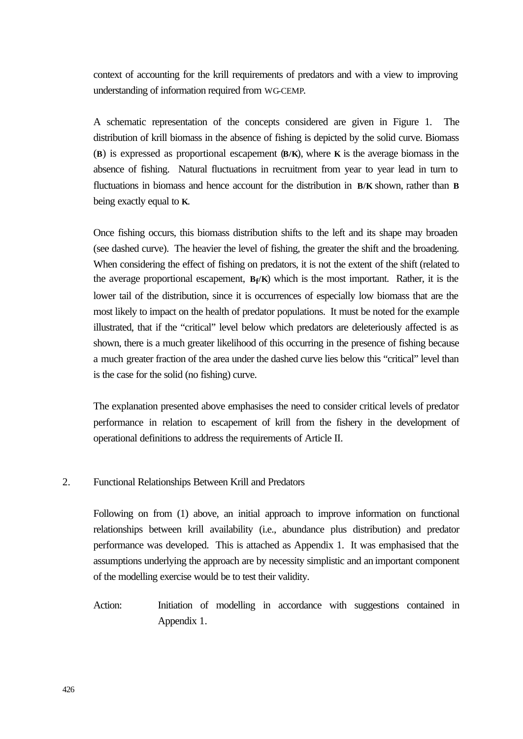context of accounting for the krill requirements of predators and with a view to improving understanding of information required from WG-CEMP.

A schematic representation of the concepts considered are given in Figure 1. The distribution of krill biomass in the absence of fishing is depicted by the solid curve. Biomass (**B**) is expressed as proportional escapement (**B/K**), where **K** is the average biomass in the absence of fishing. Natural fluctuations in recruitment from year to year lead in turn to fluctuations in biomass and hence account for the distribution in **B/K** shown, rather than **B** being exactly equal to **K**.

Once fishing occurs, this biomass distribution shifts to the left and its shape may broaden (see dashed curve). The heavier the level of fishing, the greater the shift and the broadening. When considering the effect of fishing on predators, it is not the extent of the shift (related to the average proportional escapement, **B<sup>f</sup> /K**) which is the most important. Rather, it is the lower tail of the distribution, since it is occurrences of especially low biomass that are the most likely to impact on the health of predator populations. It must be noted for the example illustrated, that if the "critical" level below which predators are deleteriously affected is as shown, there is a much greater likelihood of this occurring in the presence of fishing because a much greater fraction of the area under the dashed curve lies below this "critical" level than is the case for the solid (no fishing) curve.

The explanation presented above emphasises the need to consider critical levels of predator performance in relation to escapement of krill from the fishery in the development of operational definitions to address the requirements of Article II.

# 2. Functional Relationships Between Krill and Predators

Following on from (1) above, an initial approach to improve information on functional relationships between krill availability (i.e., abundance plus distribution) and predator performance was developed. This is attached as Appendix 1. It was emphasised that the assumptions underlying the approach are by necessity simplistic and an important component of the modelling exercise would be to test their validity.

Action: Initiation of modelling in accordance with suggestions contained in Appendix 1.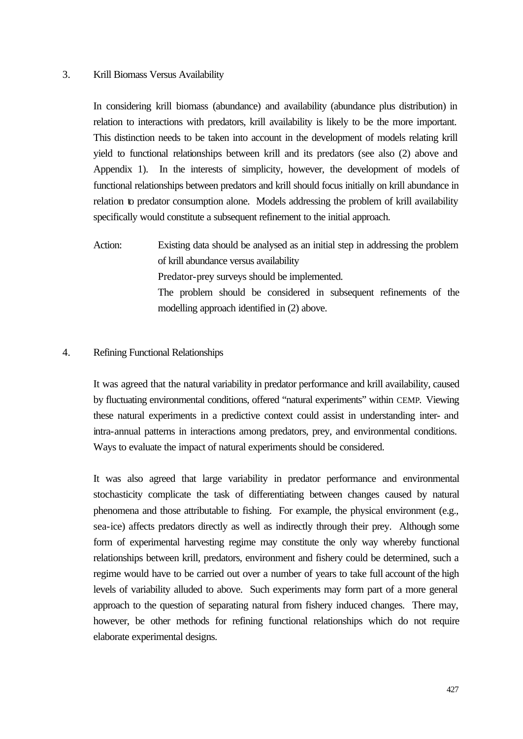## 3. Krill Biomass Versus Availability

In considering krill biomass (abundance) and availability (abundance plus distribution) in relation to interactions with predators, krill availability is likely to be the more important. This distinction needs to be taken into account in the development of models relating krill yield to functional relationships between krill and its predators (see also (2) above and Appendix 1). In the interests of simplicity, however, the development of models of functional relationships between predators and krill should focus initially on krill abundance in relation to predator consumption alone. Models addressing the problem of krill availability specifically would constitute a subsequent refinement to the initial approach.

Action: Existing data should be analysed as an initial step in addressing the problem of krill abundance versus availability Predator-prey surveys should be implemented. The problem should be considered in subsequent refinements of the modelling approach identified in (2) above.

### 4. Refining Functional Relationships

It was agreed that the natural variability in predator performance and krill availability, caused by fluctuating environmental conditions, offered "natural experiments" within CEMP. Viewing these natural experiments in a predictive context could assist in understanding inter- and intra-annual patterns in interactions among predators, prey, and environmental conditions. Ways to evaluate the impact of natural experiments should be considered.

It was also agreed that large variability in predator performance and environmental stochasticity complicate the task of differentiating between changes caused by natural phenomena and those attributable to fishing. For example, the physical environment (e.g., sea-ice) affects predators directly as well as indirectly through their prey. Although some form of experimental harvesting regime may constitute the only way whereby functional relationships between krill, predators, environment and fishery could be determined, such a regime would have to be carried out over a number of years to take full account of the high levels of variability alluded to above. Such experiments may form part of a more general approach to the question of separating natural from fishery induced changes. There may, however, be other methods for refining functional relationships which do not require elaborate experimental designs.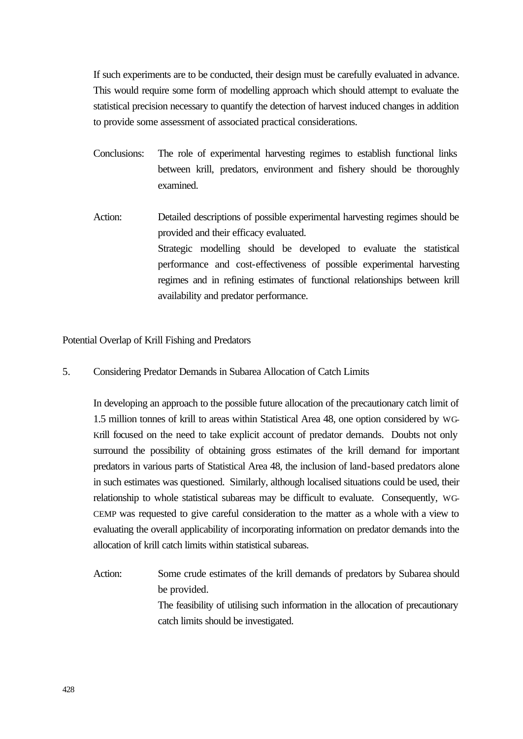If such experiments are to be conducted, their design must be carefully evaluated in advance. This would require some form of modelling approach which should attempt to evaluate the statistical precision necessary to quantify the detection of harvest induced changes in addition to provide some assessment of associated practical considerations.

- Conclusions: The role of experimental harvesting regimes to establish functional links between krill, predators, environment and fishery should be thoroughly examined.
- Action: Detailed descriptions of possible experimental harvesting regimes should be provided and their efficacy evaluated. Strategic modelling should be developed to evaluate the statistical performance and cost-effectiveness of possible experimental harvesting regimes and in refining estimates of functional relationships between krill availability and predator performance.

Potential Overlap of Krill Fishing and Predators

5. Considering Predator Demands in Subarea Allocation of Catch Limits

In developing an approach to the possible future allocation of the precautionary catch limit of 1.5 million tonnes of krill to areas within Statistical Area 48, one option considered by WG-Krill focused on the need to take explicit account of predator demands. Doubts not only surround the possibility of obtaining gross estimates of the krill demand for important predators in various parts of Statistical Area 48, the inclusion of land-based predators alone in such estimates was questioned. Similarly, although localised situations could be used, their relationship to whole statistical subareas may be difficult to evaluate. Consequently, WG-CEMP was requested to give careful consideration to the matter as a whole with a view to evaluating the overall applicability of incorporating information on predator demands into the allocation of krill catch limits within statistical subareas.

Action: Some crude estimates of the krill demands of predators by Subarea should be provided. The feasibility of utilising such information in the allocation of precautionary catch limits should be investigated.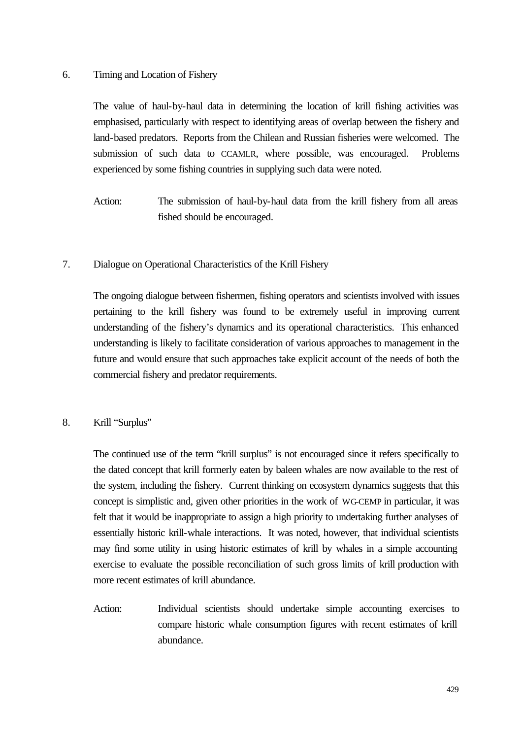# 6. Timing and Location of Fishery

The value of haul-by-haul data in determining the location of krill fishing activities was emphasised, particularly with respect to identifying areas of overlap between the fishery and land-based predators. Reports from the Chilean and Russian fisheries were welcomed. The submission of such data to CCAMLR, where possible, was encouraged. Problems experienced by some fishing countries in supplying such data were noted.

Action: The submission of haul-by-haul data from the krill fishery from all areas fished should be encouraged.

# 7. Dialogue on Operational Characteristics of the Krill Fishery

The ongoing dialogue between fishermen, fishing operators and scientists involved with issues pertaining to the krill fishery was found to be extremely useful in improving current understanding of the fishery's dynamics and its operational characteristics. This enhanced understanding is likely to facilitate consideration of various approaches to management in the future and would ensure that such approaches take explicit account of the needs of both the commercial fishery and predator requirements.

# 8. Krill "Surplus"

The continued use of the term "krill surplus" is not encouraged since it refers specifically to the dated concept that krill formerly eaten by baleen whales are now available to the rest of the system, including the fishery. Current thinking on ecosystem dynamics suggests that this concept is simplistic and, given other priorities in the work of WG-CEMP in particular, it was felt that it would be inappropriate to assign a high priority to undertaking further analyses of essentially historic krill-whale interactions. It was noted, however, that individual scientists may find some utility in using historic estimates of krill by whales in a simple accounting exercise to evaluate the possible reconciliation of such gross limits of krill production with more recent estimates of krill abundance.

Action: Individual scientists should undertake simple accounting exercises to compare historic whale consumption figures with recent estimates of krill abundance.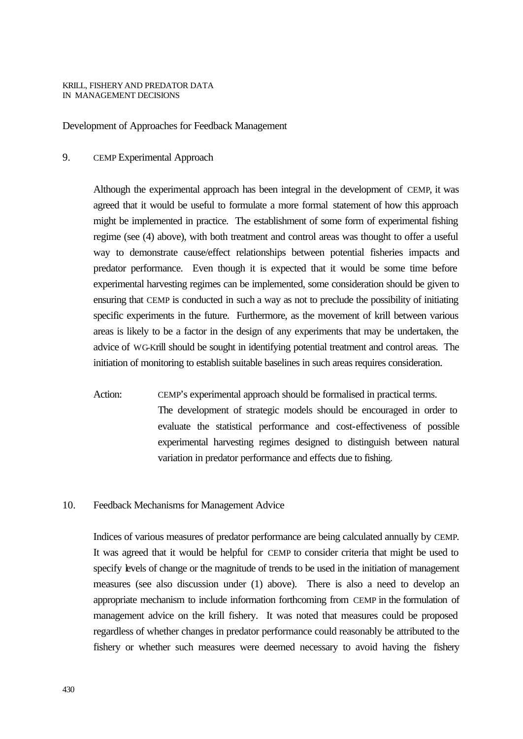#### KRILL, FISHERYAND PREDATOR DATA IN MANAGEMENT DECISIONS

Development of Approaches for Feedback Management

## 9. CEMP Experimental Approach

Although the experimental approach has been integral in the development of CEMP, it was agreed that it would be useful to formulate a more formal statement of how this approach might be implemented in practice. The establishment of some form of experimental fishing regime (see (4) above), with both treatment and control areas was thought to offer a useful way to demonstrate cause/effect relationships between potential fisheries impacts and predator performance. Even though it is expected that it would be some time before experimental harvesting regimes can be implemented, some consideration should be given to ensuring that CEMP is conducted in such a way as not to preclude the possibility of initiating specific experiments in the future. Furthermore, as the movement of krill between various areas is likely to be a factor in the design of any experiments that may be undertaken, the advice of WG-Krill should be sought in identifying potential treatment and control areas. The initiation of monitoring to establish suitable baselines in such areas requires consideration.

Action: CEMP's experimental approach should be formalised in practical terms. The development of strategic models should be encouraged in order to evaluate the statistical performance and cost-effectiveness of possible experimental harvesting regimes designed to distinguish between natural variation in predator performance and effects due to fishing.

#### 10. Feedback Mechanisms for Management Advice

Indices of various measures of predator performance are being calculated annually by CEMP. It was agreed that it would be helpful for CEMP to consider criteria that might be used to specify levels of change or the magnitude of trends to be used in the initiation of management measures (see also discussion under (1) above). There is also a need to develop an appropriate mechanism to include information forthcoming from CEMP in the formulation of management advice on the krill fishery. It was noted that measures could be proposed regardless of whether changes in predator performance could reasonably be attributed to the fishery or whether such measures were deemed necessary to avoid having the fishery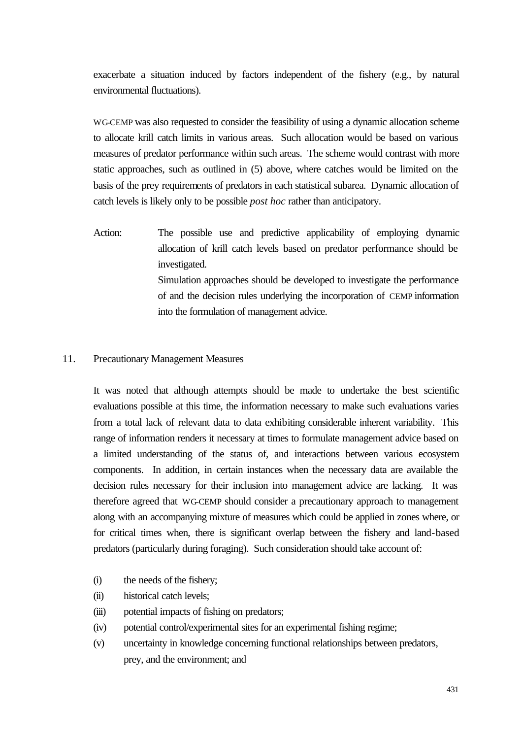exacerbate a situation induced by factors independent of the fishery (e.g., by natural environmental fluctuations).

WG-CEMP was also requested to consider the feasibility of using a dynamic allocation scheme to allocate krill catch limits in various areas. Such allocation would be based on various measures of predator performance within such areas. The scheme would contrast with more static approaches, such as outlined in (5) above, where catches would be limited on the basis of the prey requirements of predators in each statistical subarea. Dynamic allocation of catch levels is likely only to be possible *post hoc* rather than anticipatory.

Action: The possible use and predictive applicability of employing dynamic allocation of krill catch levels based on predator performance should be investigated. Simulation approaches should be developed to investigate the performance of and the decision rules underlying the incorporation of CEMP information into the formulation of management advice.

## 11. Precautionary Management Measures

It was noted that although attempts should be made to undertake the best scientific evaluations possible at this time, the information necessary to make such evaluations varies from a total lack of relevant data to data exhibiting considerable inherent variability. This range of information renders it necessary at times to formulate management advice based on a limited understanding of the status of, and interactions between various ecosystem components. In addition, in certain instances when the necessary data are available the decision rules necessary for their inclusion into management advice are lacking. It was therefore agreed that WG-CEMP should consider a precautionary approach to management along with an accompanying mixture of measures which could be applied in zones where, or for critical times when, there is significant overlap between the fishery and land-based predators (particularly during foraging). Such consideration should take account of:

- (i) the needs of the fishery;
- (ii) historical catch levels;
- (iii) potential impacts of fishing on predators;
- (iv) potential control/experimental sites for an experimental fishing regime;
- (v) uncertainty in knowledge concerning functional relationships between predators, prey, and the environment; and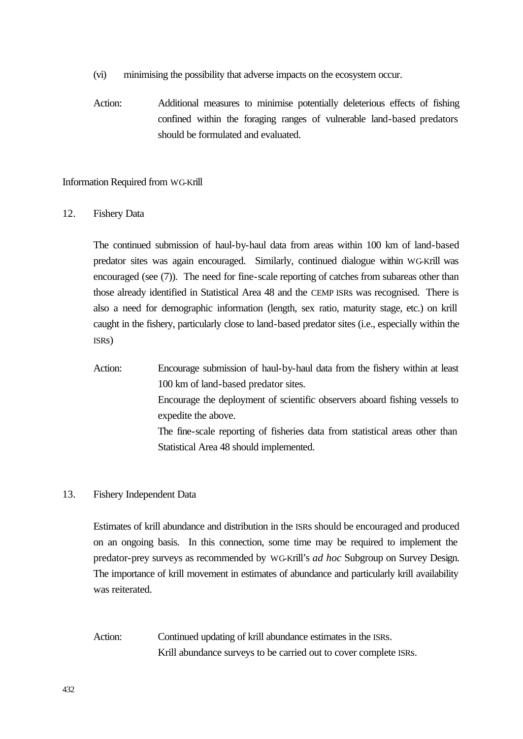- (vi) minimising the possibility that adverse impacts on the ecosystem occur.
- Action: Additional measures to minimise potentially deleterious effects of fishing confined within the foraging ranges of vulnerable land-based predators should be formulated and evaluated.

## Information Required from WG-Krill

## 12. Fishery Data

The continued submission of haul-by-haul data from areas within 100 km of land-based predator sites was again encouraged. Similarly, continued dialogue within WG-Krill was encouraged (see (7)). The need for fine-scale reporting of catches from subareas other than those already identified in Statistical Area 48 and the CEMP ISRs was recognised. There is also a need for demographic information (length, sex ratio, maturity stage, etc.) on krill caught in the fishery, particularly close to land-based predator sites (i.e., especially within the ISRs)

Action: Encourage submission of haul-by-haul data from the fishery within at least 100 km of land-based predator sites. Encourage the deployment of scientific observers aboard fishing vessels to expedite the above. The fine-scale reporting of fisheries data from statistical areas other than Statistical Area 48 should implemented.

# 13. Fishery Independent Data

Estimates of krill abundance and distribution in the ISRs should be encouraged and produced on an ongoing basis. In this connection, some time may be required to implement the predator-prey surveys as recommended by WG-Krill's *ad hoc* Subgroup on Survey Design. The importance of krill movement in estimates of abundance and particularly krill availability was reiterated.

Action: Continued updating of krill abundance estimates in the ISRs. Krill abundance surveys to be carried out to cover complete ISRs.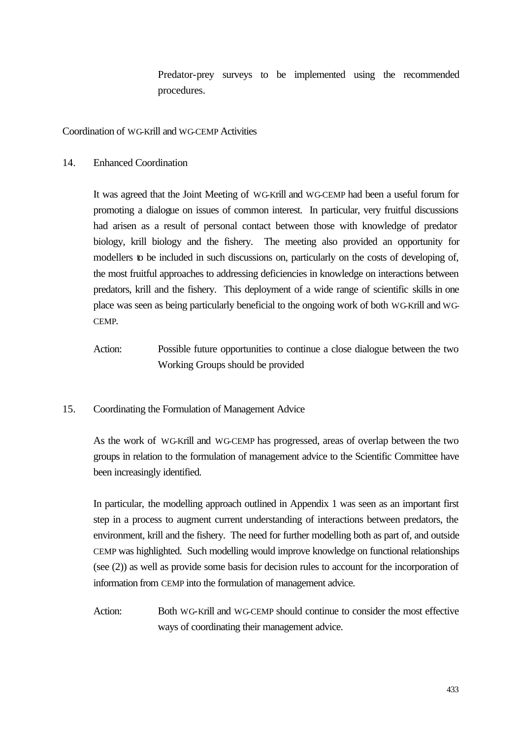Predator-prey surveys to be implemented using the recommended procedures.

Coordination of WG-Krill and WG-CEMP Activities

14. Enhanced Coordination

It was agreed that the Joint Meeting of WG-Krill and WG-CEMP had been a useful forum for promoting a dialogue on issues of common interest. In particular, very fruitful discussions had arisen as a result of personal contact between those with knowledge of predator biology, krill biology and the fishery. The meeting also provided an opportunity for modellers to be included in such discussions on, particularly on the costs of developing of, the most fruitful approaches to addressing deficiencies in knowledge on interactions between predators, krill and the fishery. This deployment of a wide range of scientific skills in one place was seen as being particularly beneficial to the ongoing work of both WG-Krill and WG-CEMP.

- Action: Possible future opportunities to continue a close dialogue between the two Working Groups should be provided
- 15. Coordinating the Formulation of Management Advice

As the work of WG-Krill and WG-CEMP has progressed, areas of overlap between the two groups in relation to the formulation of management advice to the Scientific Committee have been increasingly identified.

In particular, the modelling approach outlined in Appendix 1 was seen as an important first step in a process to augment current understanding of interactions between predators, the environment, krill and the fishery. The need for further modelling both as part of, and outside CEMP was highlighted. Such modelling would improve knowledge on functional relationships (see (2)) as well as provide some basis for decision rules to account for the incorporation of information from CEMP into the formulation of management advice.

Action: Both WG-Krill and WG-CEMP should continue to consider the most effective ways of coordinating their management advice.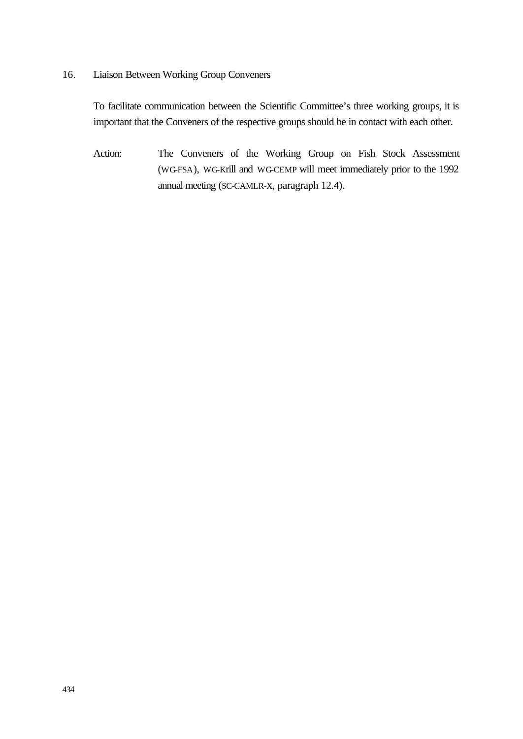16. Liaison Between Working Group Conveners

To facilitate communication between the Scientific Committee's three working groups, it is important that the Conveners of the respective groups should be in contact with each other.

Action: The Conveners of the Working Group on Fish Stock Assessment (WG-FSA), WG-Krill and WG-CEMP will meet immediately prior to the 1992 annual meeting (SC-CAMLR-X, paragraph 12.4).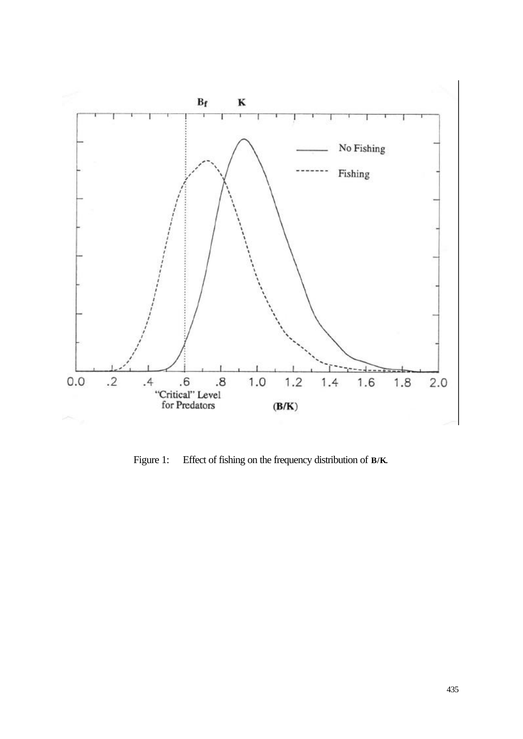

Figure 1: Effect of fishing on the frequency distribution of **B/K**.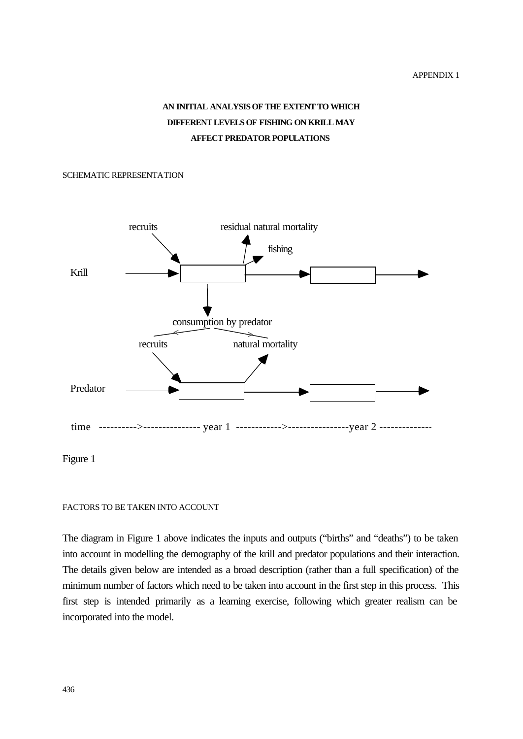# **AN INITIAL ANALYSIS OF THE EXTENT TO WHICH DIFFERENT LEVELS OF FISHING ON KRILL MAY AFFECT PREDATOR POPULATIONS**

#### SCHEMATIC REPRESENTATION



Figure 1

### FACTORS TO BE TAKEN INTO ACCOUNT

The diagram in Figure 1 above indicates the inputs and outputs ("births" and "deaths") to be taken into account in modelling the demography of the krill and predator populations and their interaction. The details given below are intended as a broad description (rather than a full specification) of the minimum number of factors which need to be taken into account in the first step in this process. This first step is intended primarily as a learning exercise, following which greater realism can be incorporated into the model.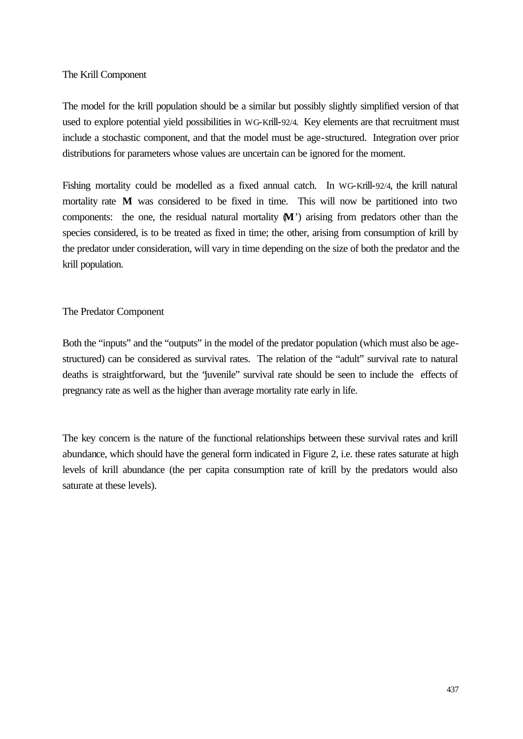## The Krill Component

The model for the krill population should be a similar but possibly slightly simplified version of that used to explore potential yield possibilities in WG-Krill-92/4. Key elements are that recruitment must include a stochastic component, and that the model must be age-structured. Integration over prior distributions for parameters whose values are uncertain can be ignored for the moment.

Fishing mortality could be modelled as a fixed annual catch. In WG-Krill-92/4, the krill natural mortality rate **M** was considered to be fixed in time. This will now be partitioned into two components: the one, the residual natural mortality  $M'$ ) arising from predators other than the species considered, is to be treated as fixed in time; the other, arising from consumption of krill by the predator under consideration, will vary in time depending on the size of both the predator and the krill population.

# The Predator Component

Both the "inputs" and the "outputs" in the model of the predator population (which must also be agestructured) can be considered as survival rates. The relation of the "adult" survival rate to natural deaths is straightforward, but the "juvenile" survival rate should be seen to include the effects of pregnancy rate as well as the higher than average mortality rate early in life.

The key concern is the nature of the functional relationships between these survival rates and krill abundance, which should have the general form indicated in Figure 2, i.e. these rates saturate at high levels of krill abundance (the per capita consumption rate of krill by the predators would also saturate at these levels).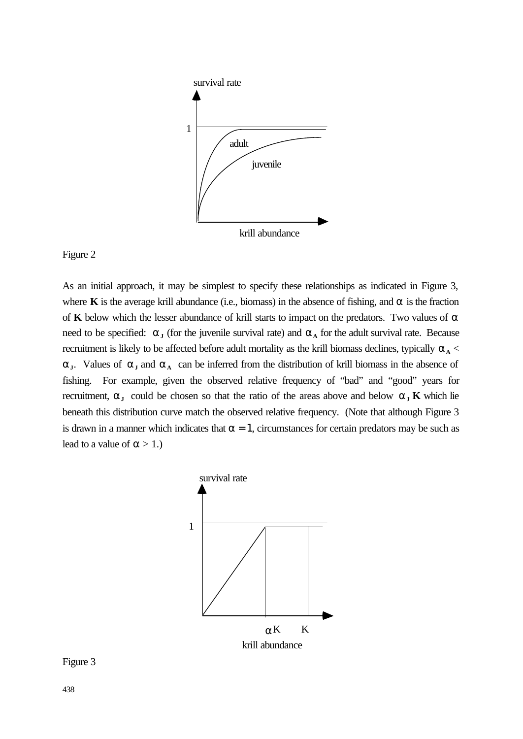

Figure 2

As an initial approach, it may be simplest to specify these relationships as indicated in Figure 3, where **K** is the average krill abundance (i.e., biomass) in the absence of fishing, and **a** is the fraction of **K** below which the lesser abundance of krill starts to impact on the predators. Two values of **a** need to be specified:  $\mathbf{a}_{\mathbf{J}}$  (for the juvenile survival rate) and  $\mathbf{a}_{\mathbf{A}}$  for the adult survival rate. Because recruitment is likely to be affected before adult mortality as the krill biomass declines, typically  $\mathbf{a}$ <sub>A</sub> < **a**<sub>**J**</sub>. Values of **a**<sub>**J**</sub> and **a**<sub>A</sub> can be inferred from the distribution of krill biomass in the absence of fishing. For example, given the observed relative frequency of "bad" and "good" years for recruitment,  $\mathbf{a}_J$  could be chosen so that the ratio of the areas above and below  $\mathbf{a}_J$  **K** which lie beneath this distribution curve match the observed relative frequency. (Note that although Figure 3 is drawn in a manner which indicates that  $\alpha = 1$ , circumstances for certain predators may be such as lead to a value of  $\alpha > 1$ .)



# Figure 3